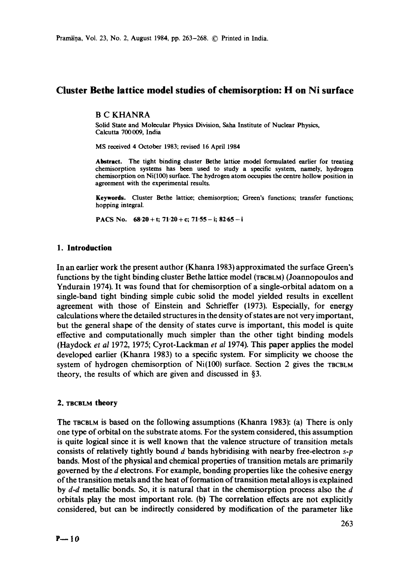# **Cluster Bethe lattice model studies of chemisorption: H on Ni surface**

#### B C KHANRA

Solid State and Molecular Physics Division, Saha Institute of Nuclear Physics, Calcutta 700009, India

MS received 4 October 1983; revised 16 April 1984

**Abstract.** The tight binding cluster Bethe lattice model formulated earlier for treating chemisorption systems has been used to study a specific system, namely, hydrogen chemisorption on Ni(100) surface. The hydrogen atom occupies the centre hollow position in agreement with the experimental results.

**Keywords.** Cluster Bethe lattice; chemisorption; Green's functions; transfer functions; hopping integral.

PACS No.  $68.20 + t$ ;  $71.20 + c$ ;  $71.55 - i$ ;  $82.65 - i$ 

### **1. Introduction**

In an earlier work the present author (Khanra 1983) approximated the surface Green's functions by the tight binding duster Bethe lattice model (TBCaLM) (Joannopoulos and Yndurain 1974). It was found that for chemisorption of a single-orbital adatom on a single-band tight binding simple cubic solid the model yielded results in excellent agreement with those of Einstein and Schrieffer (1973). Especially, for energy calculations where the detailed structures in the density of states are not very important, but the general shape of the density of states curve is important, this model is quite effective and computationally much simpler than the other tight binding models (Haydock *et al* 1972, 1975; Cyrot-Lackman *et al* 1974). This paper applies the model developed earlier (Khanra 1983) to a specific system. For simplicity we choose the system of hydrogen chemisorption of  $Ni(100)$  surface. Section 2 gives the TBCBLM theory, the results of which are given and discussed in §3.

# 2. TBCBLM **theory**

The TBCBLM is based on the following assumptions (Khanra 1983): (a) There is only one type of orbital on the substrate atoms. For the system considered, this assumption is quite logical since it is well known that the valence structure of transition metals consists of relatively tightly bound d bands hybridising with nearby free-electron *s-p*  bands. Most of the physical and chemical properties of transition metals are primarily governed by the d electrons. For example, bonding properties like the cohesive energy of the transition metals and the heat of formation of transition metal alloys is explained by *d-d* metallic bonds. So, it is natural that in the chemisorption process also the d orbitals play the most important role. (b) The correlation effects are not explicitly considered, but can be indirectly considered by modification of the parameter like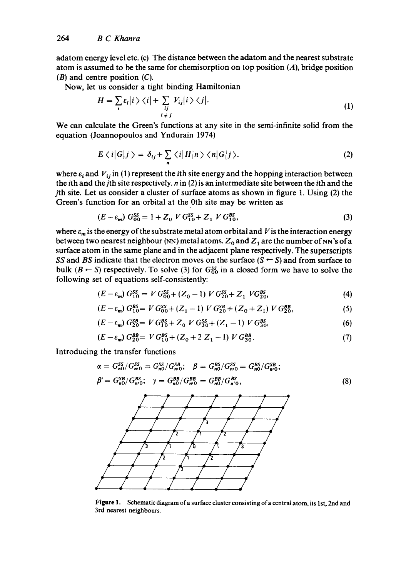adatom energy level etc. (c) The distance between the adatom and the nearest substrate atom is assumed to be the same for chemisorption on top position (A), bridge position  $(B)$  and centre position  $(C)$ .

Now, let us consider a tight binding Hamiltonian

$$
H = \sum_{i} \varepsilon_{i} |i\rangle\langle i| + \sum_{\substack{ij \\ i \neq j}} V_{ij} |i\rangle\langle j|.
$$
 (1)

We can calculate the Green's functions at any site in the semi-infinite solid from the equation (Joannopoulos and Yndurain 1974)

$$
E \langle i|G|j\rangle = \delta_{ij} + \sum_{n} \langle i|H|n\rangle \langle n|G|j\rangle.
$$
 (2)

where  $\varepsilon_i$  and  $V_{ij}$  in (1) represent the *i*th site energy and the hopping interaction between the *i*th and the *j*th site respectively,  $n$  in (2) is an intermediate site between the *i*th and the jth site. Let us consider a cluster of surface atoms as shown in figure 1. Using (2) the Green's function for an orbital at the 0th site may be written as

$$
(E - \varepsilon_m) G_{00}^{SS} = 1 + Z_0 V G_{10}^{SS} + Z_1 V G_{10}^{BS},
$$
\n(3)

where  $\varepsilon_m$  is the energy of the substrate metal atom orbital and V is the interaction energy between two nearest neighbour (NN) metal atoms.  $Z_0$  and  $Z_1$  are the number of NN's of a surface atom in the same plane and in the adjacent plane respectively. The superscripts *SS* and *BS* indicate that the electron moves on the surface ( $S \leftarrow S$ ) and from surface to bulk  $(B \leftarrow S)$  respectively. To solve (3) for  $G_{00}^{ss}$  in a closed form we have to solve the following set of equations self-consistently:

$$
(E - \varepsilon_m) G_{10}^{SS} = V G_{00}^{SS} + (Z_0 - 1) V G_{20}^{SS} + Z_1 V G_{20}^{BS},
$$
\n(4)

$$
(E - \varepsilon_m) G_{10}^{BS} = V G_{00}^{SS} + (Z_1 - 1) V G_{20}^{SB} + (Z_0 + Z_1) V G_{20}^{BB},
$$
 (5)

$$
(E - \varepsilon_m) G_{20}^{SB} = V G_{10}^{BS} + Z_0 V G_{30}^{SS} + (Z_1 - 1) V G_{30}^{BS},
$$
 (6)

$$
(E - \varepsilon_m) G_{20}^{BB} = V G_{10}^{BS} + (Z_0 + 2 Z_1 - 1) V G_{30}^{BB}.
$$
 (7)

Introducing the transfer functions

$$
\alpha = G_{n0}^{SS}/G_{n/0}^{SS} = G_{n0}^{SS}/G_{n/0}^{SB}; \quad \beta = G_{n0}^{BS}/G_{n/0}^{SS} = G_{n0}^{BS}/G_{n/0}^{SB}; \beta' = G_{n0}^{SB}/G_{n/0}^{BS}; \quad \gamma = G_{n0}^{BB}/G_{n/0}^{BB} = G_{n0}^{BB}/G_{n/0}^{BS};
$$
\n(8)



**Figure** 1. Schematic diagram of a surface cluster consisting of a central atom, its 1st, 2nd and 3rd nearest neighbours.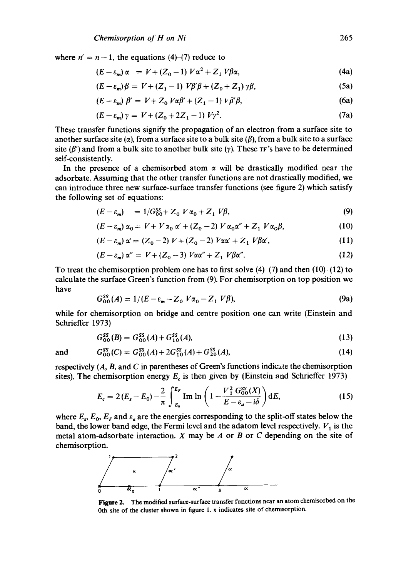where  $n' = n - 1$ , the equations (4)-(7) reduce to

$$
(E - \varepsilon_m) \alpha = V + (Z_0 - 1) V \alpha^2 + Z_1 V \beta \alpha, \tag{4a}
$$

$$
(E - \varepsilon_m)\beta = V + (Z_1 - 1)V\beta'\beta + (Z_0 + Z_1)\gamma\beta,
$$
\n(5a)

$$
(E - \varepsilon_m) \beta' = V + Z_0 V \alpha \beta' + (Z_1 - 1) V \beta' \beta,
$$
 (6a)

$$
(E - \varepsilon_m) \gamma = V + (Z_0 + 2Z_1 - 1) V \gamma^2. \tag{7a}
$$

These transfer functions signify the propagation of an electron from a surface site to another surface site ( $\alpha$ ), from a surface site to a bulk site ( $\beta$ ), from a bulk site to a surface site ( $\beta'$ ) and from a bulk site to another bulk site ( $\gamma$ ). These TF's have to be determined self-consistently.

In the presence of a chemisorbed atom  $\alpha$  will be drastically modified near the adsorbate. Assuming that the other transfer functions are not drastically modified, we can introduce three new surface-surface transfer functions (see figure 2) which satisfy the following set of equations:

$$
(E - \varepsilon_m) = 1/G_{00}^{SS} + Z_0 V \alpha_0 + Z_1 V \beta, \tag{9}
$$

$$
(E - \varepsilon_m) \alpha_0 = V + V \alpha_0 \alpha' + (Z_0 - 2) V \alpha_0 \alpha'' + Z_1 V \alpha_0 \beta, \tag{10}
$$

$$
(E - \varepsilon_m) \alpha' = (Z_0 - 2) V + (Z_0 - 2) V \alpha \alpha' + Z_1 V \beta \alpha', \qquad (11)
$$

$$
(E - \varepsilon_m) \alpha'' = V + (Z_0 - 3) V \alpha \alpha'' + Z_1 V \beta \alpha''.
$$
 (12)

To treat the chemisorption problem one has to first solve  $(4)$ – $(7)$  and then  $(10)$ – $(12)$  to calculate the surface Green's function from (9). For chemisorption on top position we have

$$
G_{00}^{SS}(A) = 1/(E - \varepsilon_m - Z_0 V \alpha_0 - Z_1 V \beta),
$$
 (9a)

while for chemisorption on bridge and centre position one can write (Einstein and Schrieffer 1973)

$$
G_{00}^{SS}(B) = G_{00}^{SS}(A) + G_{10}^{SS}(A),\tag{13}
$$

and 
$$
G_{00}^{SS}(C) = G_{00}^{SS}(A) + 2G_{10}^{SS}(A) + G_{20}^{SS}(A),
$$
 (14)

respectively  $(A, B, A)$  and  $C$  in parentheses of Green's functions indicate the chemisorption sites). The chemisorption energy  $E_c$  is then given by (Einstein and Schrieffer 1973)

$$
E_c = 2(E_s - E_0) - \frac{2}{\pi} \int_{E_0}^{E_F} \text{Im} \ln \left( 1 - \frac{V_1^2 G_{00}^{SS}(X)}{E - E_a - i\delta} \right) dE, \tag{15}
$$

where  $E_s$ ,  $E_0$ ,  $E_F$  and  $\varepsilon_a$  are the energies corresponding to the split-off states below the band, the lower band edge, the Fermi level and the adatom level respectively.  $V_1$  is the metal atom-adsorbate interaction.  $X$  may be  $A$  or  $B$  or  $C$  depending on the site of chemisorption.



**Figure 2. The** modified surface-surface transfer functions near an atom chemisorbcd on **the**  Oth site of the cluster shown in figure 1. x indicates site of chemisorption.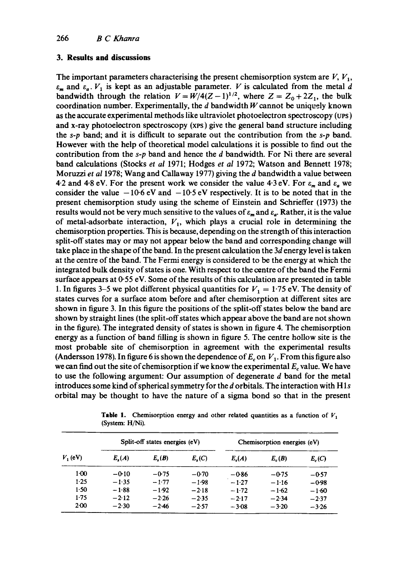#### **3. Results and discussions**

The important parameters characterising the present chemisorption system are  $V, V_1$ ,  $\varepsilon_m$  and  $\varepsilon_a$ .  $V_1$  is kept as an adjustable parameter. V is calculated from the metal d bandwidth through the relation  $V = W/4(Z-1)^{1/2}$ , where  $Z = Z_0 + 2Z_1$ , the bulk coordination number. Experimentally, the  $d$  bandwidth  $W$  cannot be uniquely known as the accurate experimental methods like ultraviolet photoelectron spectroscopy (ups) and x-ray photoelectron spectroscopy (xps) give the general band structure including the *s-p* band; and it is difficult to separate out the contribution from the *s-p* band. However with the help of theoretical model calculations it is possible to find out the contribution from the *s-p* band and hence the d bandwidth. For Ni there are several band calculations (Stocks *et al* 1971; Hodges *et al* 1972; Watson and Bennett 1978; Moruzzi *et al* 1978; Wang and Callaway 1977) giving the d bandwidth a value between 4.2 and 4.8 eV. For the present work we consider the value 4.3 eV. For  $\varepsilon_m$  and  $\varepsilon_a$  we consider the value  $-10.6$  eV and  $-10.5$  eV respectively. It is to be noted that in the present chemisorption study using the scheme of Einstein and Schrieffer (1973) the results would not be very much sensitive to the values of  $\varepsilon_m$  and  $\varepsilon_a$ . Rather, it is the value of metal-adsorbate interaction,  $V_1$ , which plays a crucial role in determining the chemisorption properties. This is because, depending on the strength of this interaction split-off states may or may not appear below the band and corresponding change will take place in the shape of the band. In the present calculation the 3d energy level is taken at the centre of the band. The Fermi energy is considered to be the energy at which the integrated bulk density of states is one. With respect to the centre of the band the Fermi surface appears at  $0.55$  eV. Some of the results of this calculation are presented in table 1. In figures 3–5 we plot different physical quantities for  $V_1 = 1.75$  eV. The density of states curves for a surface atom before and after chemisorption at different sites are shown in figure 3. In this figure the positions of the split-off states below the band are shown by straight lines (the split-off states which appear above the band are not shown in the figure). The integrated density of states is shown in figure 4. The chemisorption energy as a function of band filling is shown in figure 5. The centre hollow site is the most probable site of chemisorption in agreement with the experimental results (Andersson 1978). In figure 6 is shown the dependence of  $E_c$  on  $V_1$ . From this figure also we can find out the site of chemisorption if we know the experimental  $E_c$  value. We have to use the following argument: Our assumption of degenerate  $d$  band for the metal introduces some kind of spherical symmetry for the d orbitals. The interaction with Hls orbital may be thought to have the nature of a sigma bond so that in the present

| $V_1$ (eV) | Split-off states energies (eV) |            |                  | Chemisorption energies (eV) |          |          |
|------------|--------------------------------|------------|------------------|-----------------------------|----------|----------|
|            | $E_{\bullet}(A)$               | $E_{n}(B)$ | $E_{\bullet}(C)$ | $E_c(A)$                    | $E_c(B)$ | $E_c(C)$ |
| $1-00$     | $-0.10$                        | $-0.75$    | $-0.70$          | -086                        | $-0.75$  | $-0.57$  |
| $1-25$     | $-1.35$                        | $-1.77$    | $-1.98$          | $-1.27$                     | $-1.16$  | $-0.98$  |
| 1.50       | $-1.88$                        | $-1.92$    | $-2.18$          | $-1.72$                     | $-1.62$  | $-1.60$  |
| $1-75$     | $-2.12$                        | $-2.26$    | $-2.35$          | $-2.17$                     | $-2.34$  | $-2.37$  |
| $2-00$     | $-2.30$                        | $-2.46$    | $-2.57$          | $-3.08$                     | $-3.20$  | $-3.26$  |

**Table 1.** Chemisorption energy and other related quantities as a function of  $V_1$ (System: H/Ni).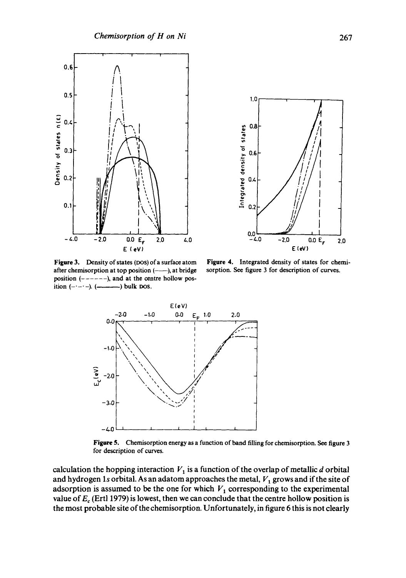

 $1,0$ a<br>alsis jo Ajisuap pateigatu<u>t</u><br>as  $0.0$  $0.0 E_r$ - 4.0  $-2.0$  $2.0$ E (eV)

Figure 3. Density of states (DOS) of a surface atom after chemisorption at top position (--), at bridge position  $(----)$ , and at the centre hollow position  $(- - )$ .  $(- - )$  bulk DOS.

Figure 4. Integrated density of states for chemisorption. See figure 3 for description of curves.



Figure 5. Chemisorption energy as a function of band filling for chemisorption. See figure 3 for description of curves.

calculation the hopping interaction  $V_1$  is a function of the overlap of metallic d orbital and hydrogen 1s orbital. As an adatom approaches the metal,  $V_1$  grows and if the site of adsorption is assumed to be the one for which  $V_1$  corresponding to the experimental value of  $E_c$  (Ertl 1979) is lowest, then we can conclude that the centre hollow position is the most probable site of the chemisorption. Unfortunately, in figure 6 this is not clearly